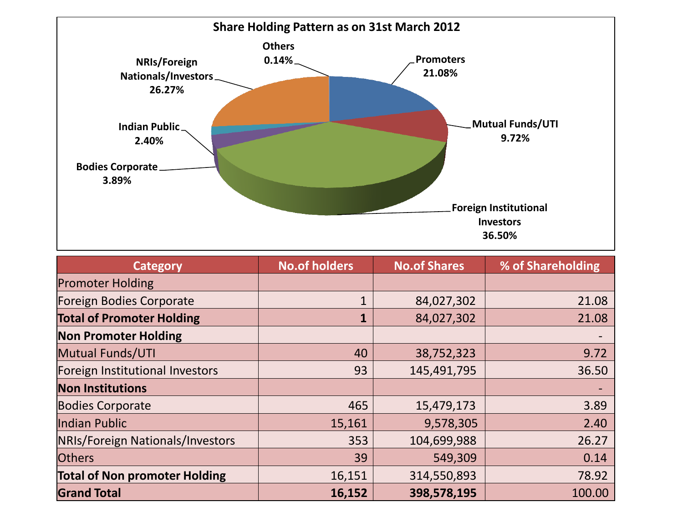

| <b>Category</b>                      | <b>No.of holders</b> | <b>No.of Shares</b> | % of Shareholding |
|--------------------------------------|----------------------|---------------------|-------------------|
| <b>Promoter Holding</b>              |                      |                     |                   |
| Foreign Bodies Corporate             | $\mathbf{1}$         | 84,027,302          | 21.08             |
| <b>Total of Promoter Holding</b>     | 1                    | 84,027,302          | 21.08             |
| <b>Non Promoter Holding</b>          |                      |                     |                   |
| <b>Mutual Funds/UTI</b>              | 40                   | 38,752,323          | 9.72              |
| Foreign Institutional Investors      | 93                   | 145,491,795         | 36.50             |
| <b>Non Institutions</b>              |                      |                     |                   |
| <b>Bodies Corporate</b>              | 465                  | 15,479,173          | 3.89              |
| Indian Public                        | 15,161               | 9,578,305           | 2.40              |
| NRIs/Foreign Nationals/Investors     | 353                  | 104,699,988         | 26.27             |
| <b>Others</b>                        | 39                   | 549,309             | 0.14              |
| <b>Total of Non promoter Holding</b> | 16,151               | 314,550,893         | 78.92             |
| <b>Grand Total</b>                   | 16,152               | 398,578,195         | 100.00            |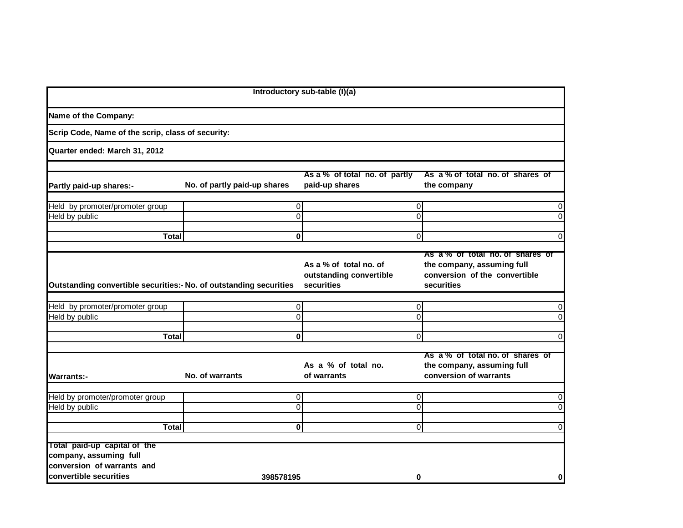| Introductory sub-table (I)(a)                                                                                  |                              |                                                                 |                                                                                                               |  |  |  |  |
|----------------------------------------------------------------------------------------------------------------|------------------------------|-----------------------------------------------------------------|---------------------------------------------------------------------------------------------------------------|--|--|--|--|
| Name of the Company:                                                                                           |                              |                                                                 |                                                                                                               |  |  |  |  |
| Scrip Code, Name of the scrip, class of security:                                                              |                              |                                                                 |                                                                                                               |  |  |  |  |
| Quarter ended: March 31, 2012                                                                                  |                              |                                                                 |                                                                                                               |  |  |  |  |
|                                                                                                                |                              |                                                                 |                                                                                                               |  |  |  |  |
| Partly paid-up shares:-                                                                                        | No. of partly paid-up shares | As a % of total no. of partly<br>paid-up shares                 | As a % of total no. of shares of<br>the company                                                               |  |  |  |  |
| Held by promoter/promoter group                                                                                |                              | 0                                                               | 0<br>0                                                                                                        |  |  |  |  |
| Held by public                                                                                                 |                              | $\Omega$                                                        | $\Omega$<br>$\overline{0}$                                                                                    |  |  |  |  |
| <b>Total</b>                                                                                                   |                              | $\mathbf{0}$                                                    | $\Omega$<br>$\overline{0}$                                                                                    |  |  |  |  |
|                                                                                                                |                              |                                                                 |                                                                                                               |  |  |  |  |
| Outstanding convertible securities:- No. of outstanding securities                                             |                              | As a % of total no. of<br>outstanding convertible<br>securities | As a % of total no. of shares of<br>the company, assuming full<br>conversion of the convertible<br>securities |  |  |  |  |
|                                                                                                                |                              |                                                                 |                                                                                                               |  |  |  |  |
| Held by promoter/promoter group<br>Held by public                                                              |                              | 0<br>$\Omega$                                                   | 0<br>0<br>$\overline{0}$<br>$\Omega$                                                                          |  |  |  |  |
|                                                                                                                |                              |                                                                 |                                                                                                               |  |  |  |  |
| <b>Total</b>                                                                                                   |                              | $\mathbf{0}$                                                    | $\overline{0}$<br>$\mathbf 0$                                                                                 |  |  |  |  |
| <b>Warrants:-</b>                                                                                              | No. of warrants              | As a % of total no.<br>of warrants                              | As a % of total no. of shares of<br>the company, assuming full<br>conversion of warrants                      |  |  |  |  |
| Held by promoter/promoter group                                                                                |                              | $\overline{0}$                                                  | 0<br>0                                                                                                        |  |  |  |  |
| Held by public                                                                                                 |                              | 0                                                               | $\Omega$<br>$\overline{0}$                                                                                    |  |  |  |  |
| <b>Total</b>                                                                                                   |                              | $\mathbf{0}$                                                    | $\overline{0}$<br>$\Omega$                                                                                    |  |  |  |  |
| Total paid-up capital of the<br>company, assuming full<br>conversion of warrants and<br>convertible securities | 398578195                    |                                                                 |                                                                                                               |  |  |  |  |
|                                                                                                                |                              |                                                                 | 0<br>0                                                                                                        |  |  |  |  |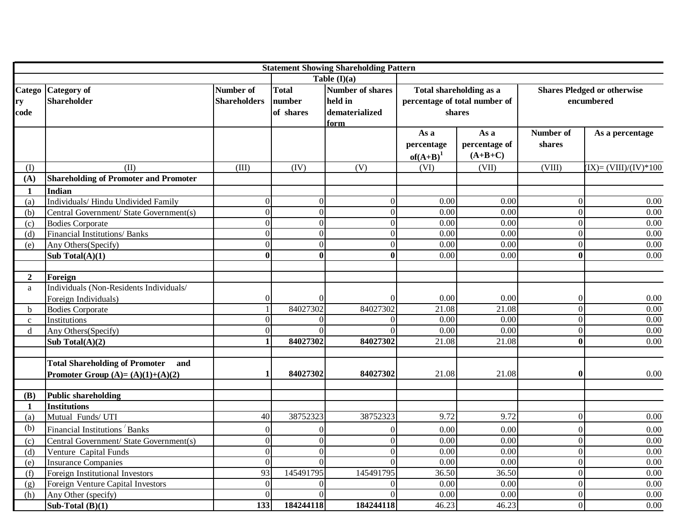|                      |                                                                                    |                                  |                                     | <b>Statement Showing Shareholding Pattern</b>                |                                                                    |                                    |                                                  |                          |
|----------------------|------------------------------------------------------------------------------------|----------------------------------|-------------------------------------|--------------------------------------------------------------|--------------------------------------------------------------------|------------------------------------|--------------------------------------------------|--------------------------|
|                      |                                                                                    |                                  |                                     | Table $(I)(a)$                                               |                                                                    |                                    |                                                  |                          |
| Catego<br>ry<br>code | <b>Category</b> of<br><b>Shareholder</b>                                           | Number of<br><b>Shareholders</b> | <b>Total</b><br>number<br>of shares | <b>Number of shares</b><br>held in<br>dematerialized<br>form | Total shareholding as a<br>percentage of total number of<br>shares |                                    | <b>Shares Pledged or otherwise</b><br>encumbered |                          |
|                      |                                                                                    |                                  |                                     |                                                              | As a<br>percentage<br>$of(A+B)^1$                                  | As a<br>percentage of<br>$(A+B+C)$ | Number of<br>shares                              | As a percentage          |
| (I)                  | (II)                                                                               | (III)                            | (IV)                                | (V)                                                          | (VI)                                                               | (VII)                              | (VIII)                                           | $(IX) = (VIII)/(IV)*100$ |
| (A)                  | <b>Shareholding of Promoter and Promoter</b>                                       |                                  |                                     |                                                              |                                                                    |                                    |                                                  |                          |
| 1                    | Indian                                                                             |                                  |                                     |                                                              |                                                                    |                                    |                                                  |                          |
| (a)                  | Individuals/ Hindu Undivided Family                                                | $\overline{0}$                   | $\Omega$                            | $\boldsymbol{0}$                                             | 0.00                                                               | 0.00                               | $\overline{0}$                                   | 0.00                     |
| (b)                  | Central Government/ State Government(s)                                            | $\overline{0}$                   | $\overline{0}$                      | $\overline{0}$                                               | 0.00                                                               | 0.00                               | $\overline{0}$                                   | 0.00                     |
| (c)                  | <b>Bodies Corporate</b>                                                            | $\overline{0}$                   | $\mathbf{0}$                        | $\overline{0}$                                               | 0.00                                                               | 0.00                               | $\overline{0}$                                   | 0.00                     |
| (d)                  | Financial Institutions/ Banks                                                      | $\theta$                         | $\Omega$                            | $\Omega$                                                     | 0.00                                                               | 0.00                               | $\overline{0}$                                   | 0.00                     |
| (e)                  | Any Others(Specify)                                                                | $\overline{0}$                   | $\Omega$                            | $\overline{0}$                                               | 0.00                                                               | 0.00                               | $\overline{0}$                                   | 0.00                     |
|                      | Sub Total $(A)(1)$                                                                 | $\overline{\mathbf{0}}$          | $\mathbf{0}$                        | $\bf{0}$                                                     | 0.00                                                               | 0.00                               | $\mathbf{0}$                                     | $\overline{0.00}$        |
|                      |                                                                                    |                                  |                                     |                                                              |                                                                    |                                    |                                                  |                          |
| $\overline{2}$       | Foreign                                                                            |                                  |                                     |                                                              |                                                                    |                                    |                                                  |                          |
| a                    | Individuals (Non-Residents Individuals/<br>Foreign Individuals)                    | $\overline{0}$                   | $\Omega$                            | 0                                                            | 0.00                                                               | 0.00                               | $\overline{0}$                                   | 0.00                     |
| $\mathbf b$          | <b>Bodies Corporate</b>                                                            |                                  | 84027302                            | 84027302                                                     | 21.08                                                              | 21.08                              | $\overline{0}$                                   | 0.00                     |
| $\mathbf{C}$         | Institutions                                                                       | $\overline{0}$                   | $\Omega$                            | $\boldsymbol{0}$                                             | 0.00                                                               | 0.00                               | $\overline{0}$                                   | 0.00                     |
| $\mathbf d$          | Any Others(Specify)                                                                | $\overline{0}$                   |                                     | $\Omega$                                                     | 0.00                                                               | 0.00                               | $\overline{0}$                                   | 0.00                     |
|                      | Sub Total $(A)(2)$                                                                 | $\mathbf{1}$                     | 84027302                            | 84027302                                                     | 21.08                                                              | 21.08                              | $\mathbf{0}$                                     | $\overline{0.00}$        |
|                      | <b>Total Shareholding of Promoter</b><br>and<br>Promoter Group $(A)=(A)(1)+(A)(2)$ | 1                                | 84027302                            | 84027302                                                     | 21.08                                                              | 21.08                              | $\bf{0}$                                         | 0.00                     |
| (B)                  | <b>Public shareholding</b>                                                         |                                  |                                     |                                                              |                                                                    |                                    |                                                  |                          |
| 1                    | <b>Institutions</b>                                                                |                                  |                                     |                                                              |                                                                    |                                    |                                                  |                          |
| (a)                  | Mutual Funds/ UTI                                                                  | 40                               | 38752323                            | 38752323                                                     | 9.72                                                               | 9.72                               | $\overline{0}$                                   | 0.00                     |
| (b)                  | Financial Institutions Banks                                                       | $\overline{0}$                   | $\theta$                            | $\mathbf{0}$                                                 | 0.00                                                               | 0.00                               | $\boldsymbol{0}$                                 | 0.00                     |
| (c)                  | Central Government/ State Government(s)                                            | $\overline{0}$                   | $\Omega$                            | $\overline{0}$                                               | $\overline{0.00}$                                                  | 0.00                               | $\overline{0}$                                   | $\overline{0.00}$        |
| (d)                  | Venture Capital Funds                                                              | $\overline{0}$                   | $\Omega$                            | $\theta$                                                     | $\overline{0.00}$                                                  | 0.00                               | $\overline{0}$                                   | 0.00                     |
| (e)                  | <b>Insurance Companies</b>                                                         | $\overline{0}$                   | $\Omega$                            | $\Omega$                                                     | 0.00                                                               | 0.00                               | $\overline{0}$                                   | 0.00                     |
| (f)                  | Foreign Institutional Investors                                                    | 93                               | 145491795                           | 145491795                                                    | 36.50                                                              | 36.50                              | $\overline{0}$                                   | 0.00                     |
| (g)                  | Foreign Venture Capital Investors                                                  | $\overline{0}$                   | $\Omega$                            | $\theta$                                                     | 0.00                                                               | 0.00                               | $\overline{0}$                                   | $\overline{0.00}$        |
| (h)                  | Any Other (specify)                                                                | $\overline{0}$                   | $\Omega$                            | $\Omega$                                                     | 0.00                                                               | 0.00                               | $\overline{0}$                                   | 0.00                     |
|                      | Sub-Total $(B)(1)$                                                                 | 133                              | 184244118                           | 184244118                                                    | 46.23                                                              | 46.23                              | $\Omega$                                         | $\overline{0.00}$        |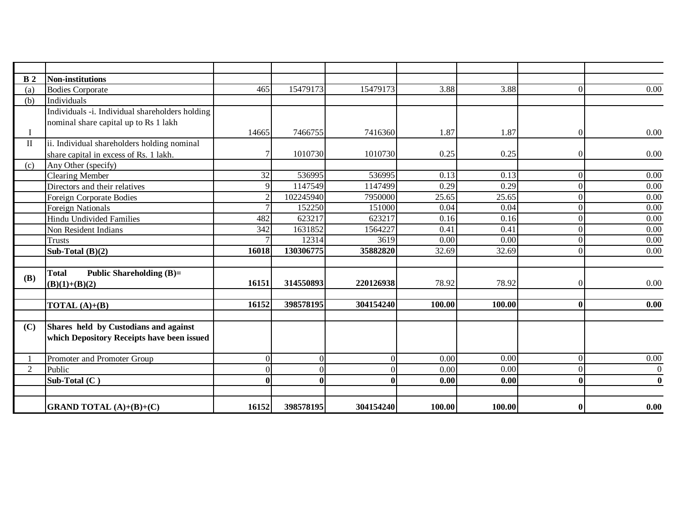| B <sub>2</sub> | <b>Non-institutions</b>                         |                |           |           |        |        |                |                  |
|----------------|-------------------------------------------------|----------------|-----------|-----------|--------|--------|----------------|------------------|
| (a)            | <b>Bodies Corporate</b>                         | 465            | 15479173  | 15479173  | 3.88   | 3.88   | $\Omega$       | 0.00             |
| (b)            | Individuals                                     |                |           |           |        |        |                |                  |
|                | Individuals -i. Individual shareholders holding |                |           |           |        |        |                |                  |
|                | nominal share capital up to Rs 1 lakh           |                |           |           |        |        |                |                  |
| $\mathbf I$    |                                                 | 14665          | 7466755   | 7416360   | 1.87   | 1.87   | $\Omega$       | 0.00             |
| $\mathbf{I}$   | ii. Individual shareholders holding nominal     |                |           |           |        |        |                |                  |
|                | share capital in excess of Rs. 1 lakh.          | $\tau$         | 1010730   | 1010730   | 0.25   | 0.25   | $\Omega$       | $0.00\,$         |
| (c)            | Any Other (specify)                             |                |           |           |        |        |                |                  |
|                | <b>Clearing Member</b>                          | 32             | 536995    | 536995    | 0.13   | 0.13   | $\Omega$       | 0.00             |
|                | Directors and their relatives                   | $\overline{9}$ | 1147549   | 1147499   | 0.29   | 0.29   | $\Omega$       | 0.00             |
|                | <b>Foreign Corporate Bodies</b>                 | $\overline{2}$ | 102245940 | 7950000   | 25.65  | 25.65  | $\overline{0}$ | 0.00             |
|                | <b>Foreign Nationals</b>                        | $\overline{7}$ | 152250    | 151000    | 0.04   | 0.04   | $\Omega$       | 0.00             |
|                | <b>Hindu Undivided Families</b>                 | 482            | 623217    | 623217    | 0.16   | 0.16   | $\Omega$       | 0.00             |
|                | Non Resident Indians                            | 342            | 1631852   | 1564227   | 0.41   | 0.41   | $\Omega$       | 0.00             |
|                | <b>Trusts</b>                                   |                | 12314     | 3619      | 0.00   | 0.00   | $\overline{0}$ | 0.00             |
|                | Sub-Total $(B)(2)$                              | 16018          | 130306775 | 35882820  | 32.69  | 32.69  | $\Omega$       | 0.00             |
|                |                                                 |                |           |           |        |        |                |                  |
| (B)            | <b>Total</b><br><b>Public Shareholding (B)=</b> |                |           |           |        |        |                |                  |
|                | $(B)(1)+(B)(2)$                                 | 16151          | 314550893 | 220126938 | 78.92  | 78.92  | $\Omega$       | $0.00\,$         |
|                |                                                 |                |           |           |        |        |                |                  |
|                | <b>TOTAL</b> $(A)+(B)$                          | 16152          | 398578195 | 304154240 | 100.00 | 100.00 | $\bf{0}$       | 0.00             |
|                |                                                 |                |           |           |        |        |                |                  |
| (C)            | Shares held by Custodians and against           |                |           |           |        |        |                |                  |
|                | which Depository Receipts have been issued      |                |           |           |        |        |                |                  |
|                |                                                 |                |           |           |        |        |                |                  |
|                | Promoter and Promoter Group                     | $\Omega$       | $\Omega$  | $\Omega$  | 0.00   | 0.00   | $\overline{0}$ | 0.00             |
| 2              | Public                                          | $\Omega$       | $\Omega$  | 0         | 0.00   | 0.00   | $\overline{0}$ | $\boldsymbol{0}$ |
|                | Sub-Total $(C)$                                 | $\mathbf{0}$   |           | 0         | 0.00   | 0.00   | $\bf{0}$       | $\mathbf{0}$     |
|                |                                                 |                |           |           |        |        |                |                  |
|                | <b>GRAND TOTAL</b> $(A)+(B)+(C)$                | 16152          | 398578195 | 304154240 | 100.00 | 100.00 | $\bf{0}$       | 0.00             |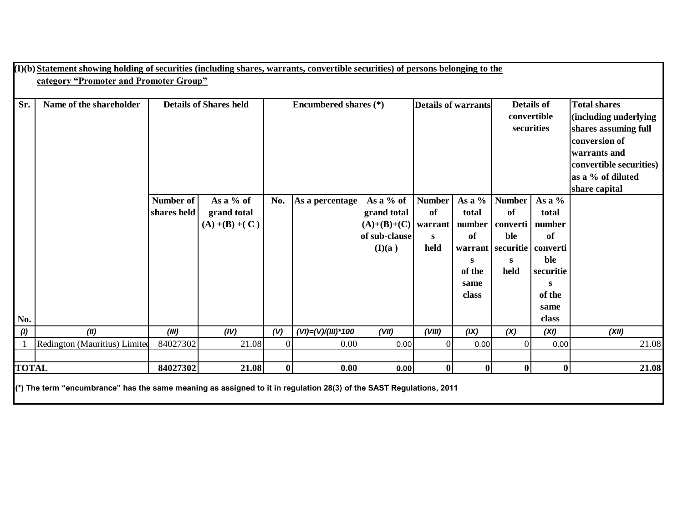|     | (I)(b) Statement showing holding of securities (including shares, warrants, convertible securities) of persons belonging to the   |             |                               |          |                              |               |                            |        |                                |                   |                         |
|-----|-----------------------------------------------------------------------------------------------------------------------------------|-------------|-------------------------------|----------|------------------------------|---------------|----------------------------|--------|--------------------------------|-------------------|-------------------------|
|     | category "Promoter and Promoter Group"                                                                                            |             |                               |          |                              |               |                            |        |                                |                   |                         |
|     |                                                                                                                                   |             |                               |          |                              |               |                            |        |                                |                   |                         |
| Sr. | Name of the shareholder                                                                                                           |             | <b>Details of Shares held</b> |          | <b>Encumbered shares</b> (*) |               | <b>Details of warrants</b> |        |                                | <b>Details of</b> | <b>Total shares</b>     |
|     |                                                                                                                                   |             |                               |          |                              |               |                            |        | convertible                    |                   | (including underlying   |
|     |                                                                                                                                   |             |                               |          |                              |               |                            |        |                                | securities        | shares assuming full    |
|     |                                                                                                                                   |             |                               |          |                              |               |                            |        |                                |                   | conversion of           |
|     |                                                                                                                                   |             |                               |          |                              |               |                            |        |                                |                   | warrants and            |
|     |                                                                                                                                   |             |                               |          |                              |               |                            |        |                                |                   | convertible securities) |
|     |                                                                                                                                   |             |                               |          |                              |               |                            |        |                                |                   | as a % of diluted       |
|     |                                                                                                                                   |             |                               |          |                              |               |                            |        |                                |                   | share capital           |
|     |                                                                                                                                   | Number of   | As a $%$ of                   | No.      | As a percentage              | As a % of     | <b>Number</b>              | As a % | <b>Number</b>                  | As a $%$          |                         |
|     |                                                                                                                                   | shares held | grand total                   |          |                              | grand total   | of                         | total  | of                             | total             |                         |
|     |                                                                                                                                   |             | $(A) + (B) + (C)$             |          |                              | $(A)+(B)+(C)$ | warrant                    | number | converti                       | number            |                         |
|     |                                                                                                                                   |             |                               |          |                              | of sub-clause | S                          | of     | ble                            | of                |                         |
|     |                                                                                                                                   |             |                               |          |                              | (I)(a)        | held                       |        | warrant   securitie   converti |                   |                         |
|     |                                                                                                                                   |             |                               |          |                              |               |                            | S      | S                              | ble               |                         |
|     |                                                                                                                                   |             |                               |          |                              |               |                            | of the | held                           | securitie         |                         |
|     |                                                                                                                                   |             |                               |          |                              |               |                            | same   |                                | S                 |                         |
|     |                                                                                                                                   |             |                               |          |                              |               |                            | class  |                                | of the            |                         |
| No. |                                                                                                                                   |             |                               |          |                              |               |                            |        |                                | same<br>class     |                         |
| (1) | (II)                                                                                                                              | (III)       | (IV)                          | (V)      | $(VI) = (V)/(III)*100$       | (VII)         | (VIII)                     | (IX)   | (X)                            | (XI)              | (XII)                   |
|     | Redington (Mauritius) Limited                                                                                                     | 84027302    | 21.08                         | $\Omega$ | 0.00                         | 0.00          | $\Omega$                   | 0.00   | $\Omega$                       | 0.00              | 21.08                   |
|     |                                                                                                                                   |             |                               |          |                              |               |                            |        |                                |                   |                         |
|     | <b>TOTAL</b><br>21.08<br>$\bf{0}$<br>$\bf{0}$<br>$\boldsymbol{0}$<br>84027302<br>0.00<br>$\bf{0}$<br>21.08<br>0.00<br>$\mathbf 0$ |             |                               |          |                              |               |                            |        |                                |                   |                         |
|     | (*) The term "encumbrance" has the same meaning as assigned to it in regulation 28(3) of the SAST Regulations, 2011               |             |                               |          |                              |               |                            |        |                                |                   |                         |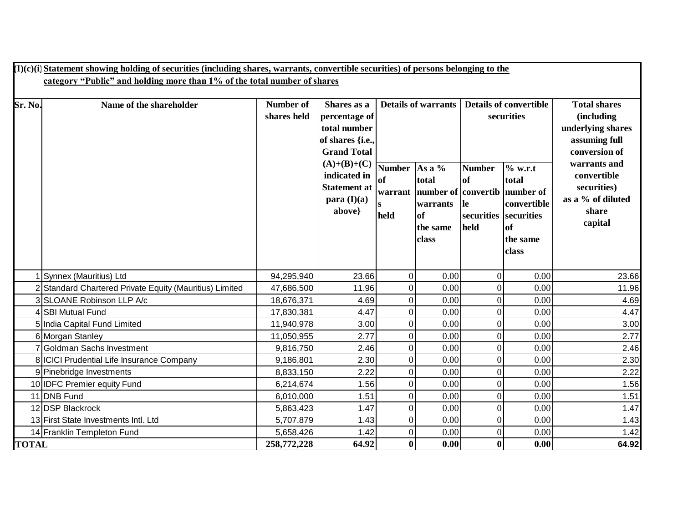|              | $(I)(c)(i)$ Statement showing holding of securities (including shares, warrants, convertible securities) of persons belonging to the |                  |                                      |               |                            |               |                               |                                  |  |  |
|--------------|--------------------------------------------------------------------------------------------------------------------------------------|------------------|--------------------------------------|---------------|----------------------------|---------------|-------------------------------|----------------------------------|--|--|
|              | category "Public" and holding more than 1% of the total number of shares                                                             |                  |                                      |               |                            |               |                               |                                  |  |  |
|              |                                                                                                                                      |                  |                                      |               |                            |               |                               |                                  |  |  |
| Sr. No.      | Name of the shareholder                                                                                                              | <b>Number of</b> | Shares as a                          |               | <b>Details of warrants</b> |               | <b>Details of convertible</b> | <b>Total shares</b>              |  |  |
|              |                                                                                                                                      | shares held      | percentage of                        |               |                            |               | securities                    | <i>(including)</i>               |  |  |
|              |                                                                                                                                      |                  | total number                         |               |                            |               |                               | underlying shares                |  |  |
|              |                                                                                                                                      |                  | of shares {i.e.,                     |               |                            |               |                               | assuming full                    |  |  |
|              |                                                                                                                                      |                  | <b>Grand Total</b>                   |               |                            |               |                               | conversion of                    |  |  |
|              |                                                                                                                                      |                  | $(A)+(B)+(C)$                        | <b>Number</b> | As a %                     | <b>Number</b> | $%$ w.r.t                     | warrants and                     |  |  |
|              |                                                                                                                                      |                  | indicated in                         | <b>of</b>     | total                      | <b>of</b>     | total                         | convertible                      |  |  |
|              |                                                                                                                                      |                  | <b>Statement at</b><br>para $(I)(a)$ | warrant       | number of convertib        |               | number of                     | securities)<br>as a % of diluted |  |  |
|              |                                                                                                                                      |                  | above}                               | $\bf{s}$      | warrants                   | <b>le</b>     | convertible                   | share                            |  |  |
|              |                                                                                                                                      |                  |                                      | held          | <sub>of</sub>              | securities    | securities                    | capital                          |  |  |
|              |                                                                                                                                      |                  |                                      |               | the same                   | held          | of                            |                                  |  |  |
|              |                                                                                                                                      |                  |                                      |               | class                      |               | the same                      |                                  |  |  |
|              |                                                                                                                                      |                  |                                      |               |                            |               | class                         |                                  |  |  |
|              |                                                                                                                                      |                  |                                      |               |                            |               |                               |                                  |  |  |
|              | 1 Synnex (Mauritius) Ltd                                                                                                             | 94,295,940       | 23.66                                | $\Omega$      | 0.00                       | $\Omega$      | 0.00                          | 23.66                            |  |  |
|              | 2 Standard Chartered Private Equity (Mauritius) Limited                                                                              | 47,686,500       | 11.96                                | $\theta$      | 0.00                       |               | 0.00                          | 11.96                            |  |  |
|              | 3 SLOANE Robinson LLP A/c                                                                                                            | 18,676,371       | 4.69                                 | $\Omega$      | 0.00                       |               | 0.00                          | 4.69                             |  |  |
|              | 4 SBI Mutual Fund                                                                                                                    | 17,830,381       | 4.47                                 | $\Omega$      | 0.00                       |               | 0.00                          | 4.47                             |  |  |
|              | 5 India Capital Fund Limited                                                                                                         | 11,940,978       | 3.00                                 | $\theta$      | 0.00                       |               | 0.00                          | 3.00                             |  |  |
|              | 6 Morgan Stanley                                                                                                                     | 11,050,955       | 2.77                                 | $\theta$      | 0.00                       |               | 0.00                          | 2.77                             |  |  |
|              | 7 Goldman Sachs Investment                                                                                                           | 9,816,750        | 2.46                                 | $\Omega$      | 0.00                       |               | 0.00                          | 2.46                             |  |  |
|              | 8 ICICI Prudential Life Insurance Company                                                                                            | 9,186,801        | 2.30                                 |               | 0.00                       |               | 0.00                          | 2.30                             |  |  |
|              | 9 Pinebridge Investments                                                                                                             | 8,833,150        | 2.22                                 | $\Omega$      | 0.00                       |               | 0.00                          | 2.22                             |  |  |
|              | 10 <b>IDFC</b> Premier equity Fund                                                                                                   | 6,214,674        | 1.56                                 | $\Omega$      | 0.00                       |               | 0.00                          | 1.56                             |  |  |
|              | 11 DNB Fund                                                                                                                          | 6,010,000        | 1.51                                 |               | 0.00                       |               | 0.00                          | 1.51                             |  |  |
|              | 12 DSP Blackrock                                                                                                                     | 5,863,423        | 1.47                                 | $\theta$      | 0.00                       |               | 0.00                          | 1.47                             |  |  |
|              | 13 First State Investments Intl. Ltd                                                                                                 | 5,707,879        | 1.43                                 | $\Omega$      | 0.00                       |               | 0.00                          | 1.43                             |  |  |
|              | 14 Franklin Templeton Fund                                                                                                           | 5,658,426        | 1.42                                 | $\Omega$      | 0.00                       |               | 0.00                          | 1.42                             |  |  |
| <b>TOTAL</b> |                                                                                                                                      | 258,772,228      | 64.92                                | $\bf{0}$      | 0.00                       | $\mathbf{0}$  | 0.00                          | 64.92                            |  |  |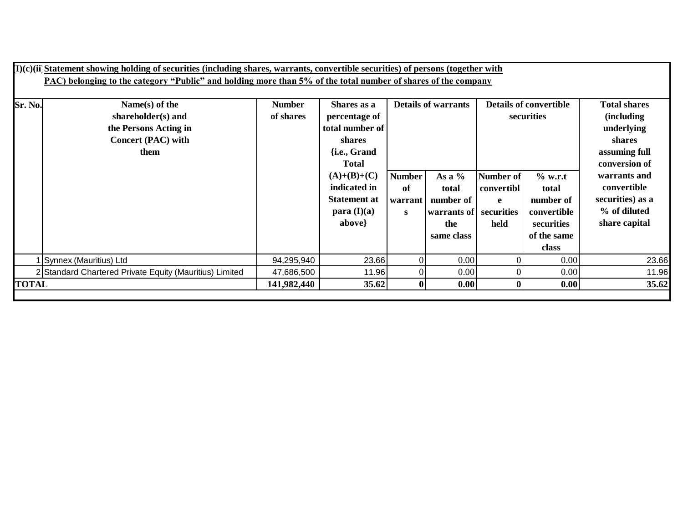|              | $(I)(c)(ii)$ Statement showing holding of securities (including shares, warrants, convertible securities) of persons (together with<br>PAC) belonging to the category "Public" and holding more than 5% of the total number of shares of the company |                            |                                                                                           |                                     |                                                                               |                                             |                                                                                      |                                                                                                     |
|--------------|------------------------------------------------------------------------------------------------------------------------------------------------------------------------------------------------------------------------------------------------------|----------------------------|-------------------------------------------------------------------------------------------|-------------------------------------|-------------------------------------------------------------------------------|---------------------------------------------|--------------------------------------------------------------------------------------|-----------------------------------------------------------------------------------------------------|
| Sr. No.      | Name(s) of the<br>shareholder(s) and<br>the Persons Acting in<br><b>Concert (PAC) with</b><br>them                                                                                                                                                   | <b>Number</b><br>of shares | Shares as a<br>percentage of<br>total number of<br>shares<br>{i.e., Grand<br><b>Total</b> | <b>Details of warrants</b>          |                                                                               | <b>Details of convertible</b><br>securities |                                                                                      | <b>Total shares</b><br><i>(including)</i><br>underlying<br>shares<br>assuming full<br>conversion of |
|              |                                                                                                                                                                                                                                                      |                            | $(A)+(B)+(C)$<br>indicated in<br><b>Statement at</b><br>para $(I)(a)$<br>above}           | <b>Number</b><br>of<br>warrant<br>S | As a $%$<br>total<br>number of<br>warrants of securities<br>the<br>same class | Number of<br>convertibl<br>e<br>held        | $%$ w.r.t<br>total<br>number of<br>convertible<br>securities<br>of the same<br>class | warrants and<br>convertible<br>securities) as a<br>% of diluted<br>share capital                    |
|              | Synnex (Mauritius) Ltd                                                                                                                                                                                                                               | 94,295,940                 | 23.66                                                                                     | $\Omega$                            | 0.00                                                                          |                                             | 0.00                                                                                 | 23.66                                                                                               |
|              | 2 Standard Chartered Private Equity (Mauritius) Limited                                                                                                                                                                                              | 47,686,500                 | 11.96                                                                                     |                                     | 0.00                                                                          |                                             | 0.00                                                                                 | 11.96                                                                                               |
| <b>TOTAL</b> |                                                                                                                                                                                                                                                      | 141,982,440                | 35.62                                                                                     | $\mathbf{0}$                        | 0.00                                                                          |                                             | 0.00                                                                                 | 35.62                                                                                               |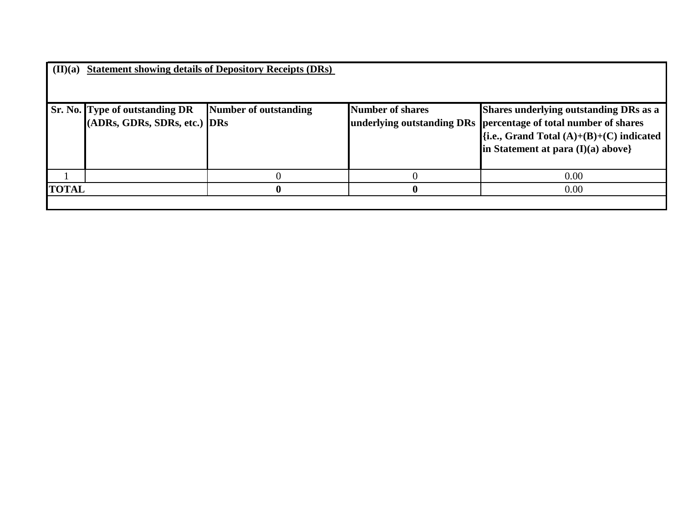| $(\mathbf{II})(\mathbf{a})$ |                                                                       | <b>Statement showing details of Depository Receipts (DRs)</b> |                         |                                                                                                                                                                                                    |
|-----------------------------|-----------------------------------------------------------------------|---------------------------------------------------------------|-------------------------|----------------------------------------------------------------------------------------------------------------------------------------------------------------------------------------------------|
|                             | <b>Sr. No. Type of outstanding DR</b><br>(ADRs, GDRs, SDRs, etc.) DRs | Number of outstanding                                         | <b>Number of shares</b> | Shares underlying outstanding DRs as a<br>underlying outstanding DRs percentage of total number of shares<br>$\{i.e., Grand Total (A)+(B)+(C) indicated\}$<br>in Statement at para $(I)(a)$ above} |
|                             |                                                                       |                                                               |                         | 0.00                                                                                                                                                                                               |
| <b>TOTAL</b>                |                                                                       | 0                                                             | o                       | 0.00                                                                                                                                                                                               |
|                             |                                                                       |                                                               |                         |                                                                                                                                                                                                    |